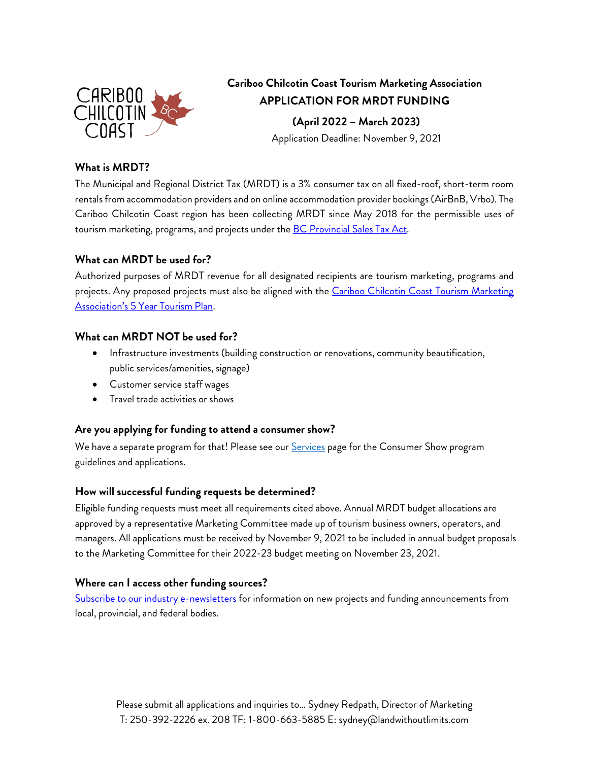

# **Cariboo Chilcotin Coast Tourism Marketing Association APPLICATION FOR MRDT FUNDING**

**(April 2022 – March 2023)**

Application Deadline: November 9, 2021

### **What is MRDT?**

The Municipal and Regional District Tax (MRDT) is a 3% consumer tax on all fixed-roof, short-term room rentals from accommodation providers and on online accommodation provider bookings (AirBnB, Vrbo). The Cariboo Chilcotin Coast region has been collecting MRDT since May 2018 for the permissible uses of tourism marketing, programs, and projects under the [BC Provincial Sales Tax Act](https://www.bclaws.gov.bc.ca/civix/document/id/complete/statreg/1295368594#section2)*.* 

### **What can MRDT be used for?**

Authorized purposes of MRDT revenue for all designated recipients are tourism marketing, programs and projects. Any proposed projects must also be aligned with the Cariboo Chilcotin Coast Tourism Marketing [Association's 5 Year Tourism](https://industry.landwithoutlimits.com/resources/uploads/2020/01/CCCTMA-MRDT-5-Year-Tourism-Plan-Approved-2018-22.pdf) Plan.

### **What can MRDT NOT be used for?**

- Infrastructure investments (building construction or renovations, community beautification, public services/amenities, signage)
- Customer service staff wages
- Travel trade activities or shows

## **Are you applying for funding to attend a consumer show?**

We have a separate program for that! Please see our [Services](https://industry.landwithoutlimits.com/services/marketing/applications-for-funding/) page for the Consumer Show program guidelines and applications.

### **How will successful funding requests be determined?**

Eligible funding requests must meet all requirements cited above. Annual MRDT budget allocations are approved by a representative Marketing Committee made up of tourism business owners, operators, and managers. All applications must be received by November 9, 2021 to be included in annual budget proposals to the Marketing Committee for their 2022-23 budget meeting on November 23, 2021.

### **Where can I access other funding sources?**

Subscribe to our [industry e-newsletters](https://industry.landwithoutlimits.com/#newsletter) for information on new projects and funding announcements from local, provincial, and federal bodies.